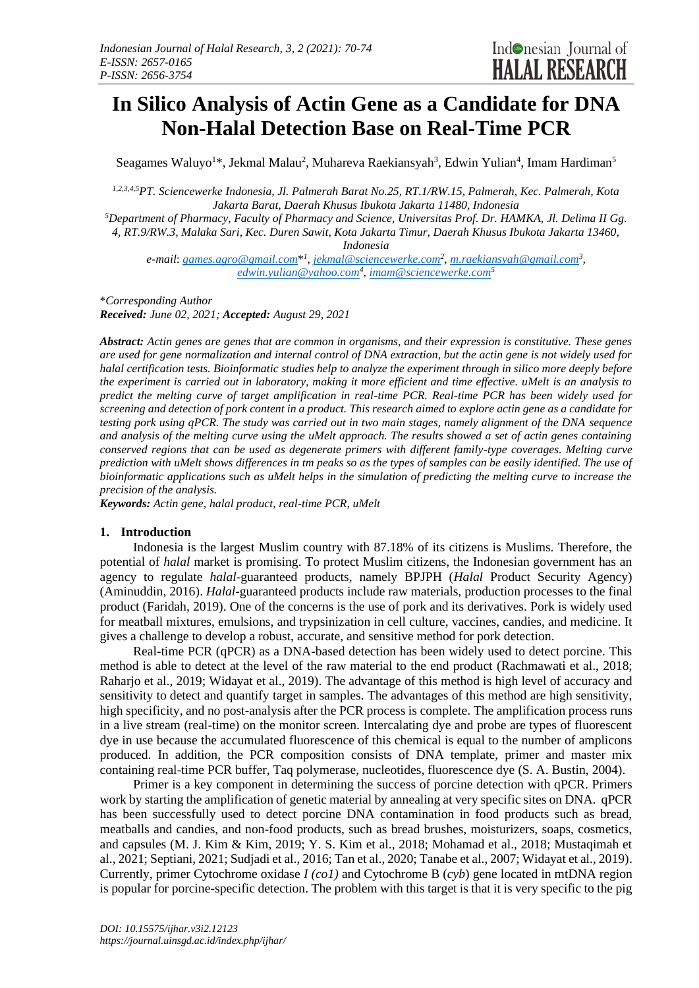# **In Silico Analysis of Actin Gene as a Candidate for DNA Non-Halal Detection Base on Real-Time PCR**

Seagames Waluyo<sup>1\*</sup>, Jekmal Malau<sup>2</sup>, Muhareva Raekiansyah<sup>3</sup>, Edwin Yulian<sup>4</sup>, Imam Hardiman<sup>5</sup>

*1,2,3,4,5PT. Sciencewerke Indonesia, Jl. Palmerah Barat No.25, RT.1/RW.15, Palmerah, Kec. Palmerah, Kota Jakarta Barat, Daerah Khusus Ibukota Jakarta 11480, Indonesia*

*<sup>5</sup>Department of Pharmacy, Faculty of Pharmacy and Science, Universitas Prof. Dr. HAMKA, Jl. Delima II Gg. 4, RT.9/RW.3, Malaka Sari, Kec. Duren Sawit, Kota Jakarta Timur, Daerah Khusus Ibukota Jakarta 13460,* 

*Indonesia*

*e-mail*: *[games.agro@gmail.com](mailto:games.agro@gmail.com)*\* *1 , [jekmal@sciencewerke.com](mailto:jekmal@sciencewerke.com)<sup>2</sup> [, m.raekiansyah@gmail.com](mailto:m.raekiansyah@gmail.com)<sup>3</sup> , [edwin.yulian@yahoo.com](mailto:edwin.yulian@yahoo.com)<sup>4</sup> [, imam@sciencewerke.com](mailto:imam@sciencewerke.com)<sup>5</sup>*

\**Corresponding Author*

*Received: June 02, 2021; Accepted: August 29, 2021*

*Abstract: Actin genes are genes that are common in organisms, and their expression is constitutive. These genes are used for gene normalization and internal control of DNA extraction, but the actin gene is not widely used for halal certification tests. Bioinformatic studies help to analyze the experiment through in silico more deeply before the experiment is carried out in laboratory, making it more efficient and time effective. uMelt is an analysis to predict the melting curve of target amplification in real-time PCR. Real-time PCR has been widely used for screening and detection of pork content in a product. This research aimed to explore actin gene as a candidate for testing pork using qPCR. The study was carried out in two main stages, namely alignment of the DNA sequence and analysis of the melting curve using the uMelt approach. The results showed a set of actin genes containing conserved regions that can be used as degenerate primers with different family-type coverages. Melting curve prediction with uMelt shows differences in tm peaks so as the types of samples can be easily identified. The use of bioinformatic applications such as uMelt helps in the simulation of predicting the melting curve to increase the precision of the analysis.*

*Keywords: Actin gene, halal product, real-time PCR, uMelt*

#### **1. Introduction**

Indonesia is the largest Muslim country with 87.18% of its citizens is Muslims. Therefore, the potential of *halal* market is promising. To protect Muslim citizens, the Indonesian government has an agency to regulate *halal*-guaranteed products, namely BPJPH (*Halal* Product Security Agency) (Aminuddin, 2016). *Halal-*guaranteed products include raw materials, production processes to the final product (Faridah, 2019). One of the concerns is the use of pork and its derivatives. Pork is widely used for meatball mixtures, emulsions, and trypsinization in cell culture, vaccines, candies, and medicine. It gives a challenge to develop a robust, accurate, and sensitive method for pork detection.

Real-time PCR (qPCR) as a DNA-based detection has been widely used to detect porcine. This method is able to detect at the level of the raw material to the end product (Rachmawati et al., 2018; Raharjo et al., 2019; Widayat et al., 2019). The advantage of this method is high level of accuracy and sensitivity to detect and quantify target in samples. The advantages of this method are high sensitivity, high specificity, and no post-analysis after the PCR process is complete. The amplification process runs in a live stream (real-time) on the monitor screen. Intercalating dye and probe are types of fluorescent dye in use because the accumulated fluorescence of this chemical is equal to the number of amplicons produced. In addition, the PCR composition consists of DNA template, primer and master mix containing real-time PCR buffer, Taq polymerase, nucleotides, fluorescence dye (S. A. Bustin, 2004).

Primer is a key component in determining the success of porcine detection with qPCR. Primers work by starting the amplification of genetic material by annealing at very specific sites on DNA. qPCR has been successfully used to detect porcine DNA contamination in food products such as bread, meatballs and candies, and non-food products, such as bread brushes, moisturizers, soaps, cosmetics, and capsules (M. J. Kim & Kim, 2019; Y. S. Kim et al., 2018; Mohamad et al., 2018; Mustaqimah et al., 2021; Septiani, 2021; Sudjadi et al., 2016; Tan et al., 2020; Tanabe et al., 2007; Widayat et al., 2019). Currently, primer Cytochrome oxidase *I (co1)* and Cytochrome B (*cyb*) gene located in mtDNA region is popular for porcine-specific detection. The problem with this target is that it is very specific to the pig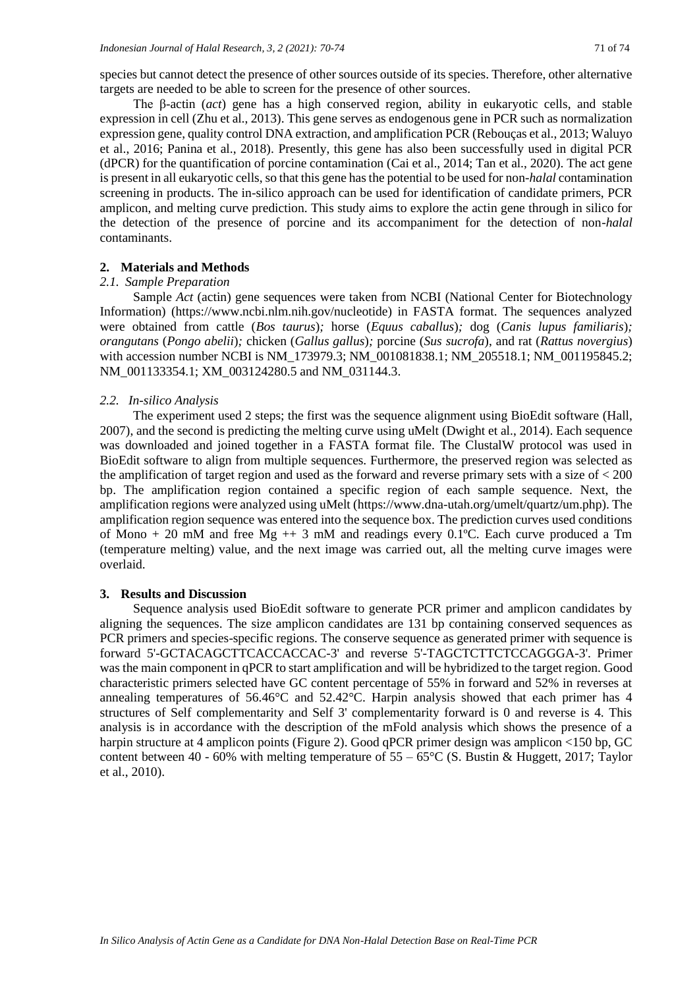species but cannot detect the presence of other sources outside of its species. Therefore, other alternative targets are needed to be able to screen for the presence of other sources.

The β-actin (*act*) gene has a high conserved region, ability in eukaryotic cells, and stable expression in cell (Zhu et al., 2013). This gene serves as endogenous gene in PCR such as normalization expression gene, quality control DNA extraction, and amplification PCR (Rebouças et al., 2013; Waluyo et al., 2016; Panina et al., 2018). Presently, this gene has also been successfully used in digital PCR (dPCR) for the quantification of porcine contamination (Cai et al., 2014; Tan et al., 2020). The act gene is present in all eukaryotic cells, so that this gene has the potential to be used for non-*halal* contamination screening in products. The in-silico approach can be used for identification of candidate primers, PCR amplicon, and melting curve prediction. This study aims to explore the actin gene through in silico for the detection of the presence of porcine and its accompaniment for the detection of non-*halal* contaminants.

### **2. Materials and Methods**

# *2.1. Sample Preparation*

Sample *Act* (actin) gene sequences were taken from NCBI (National Center for Biotechnology Information) (https://www.ncbi.nlm.nih.gov/nucleotide) in FASTA format. The sequences analyzed were obtained from cattle (*Bos taurus*)*;* horse (*Equus caballus*)*;* dog (*Canis lupus familiaris*)*; orangutans* (*Pongo abelii*)*;* chicken (*Gallus gallus*)*;* porcine (*Sus sucrofa*), and rat (*Rattus novergius*) with accession number NCBI is NM\_173979.3; NM\_001081838.1; NM\_205518.1; NM\_001195845.2; NM\_001133354.1; XM\_003124280.5 and NM\_031144.3.

#### *2.2. In-silico Analysis*

The experiment used 2 steps; the first was the sequence alignment using BioEdit software (Hall, 2007), and the second is predicting the melting curve using uMelt (Dwight et al., 2014). Each sequence was downloaded and joined together in a FASTA format file. The ClustalW protocol was used in BioEdit software to align from multiple sequences. Furthermore, the preserved region was selected as the amplification of target region and used as the forward and reverse primary sets with a size of < 200 bp. The amplification region contained a specific region of each sample sequence. Next, the amplification regions were analyzed using uMelt (https://www.dna-utah.org/umelt/quartz/um.php). The amplification region sequence was entered into the sequence box. The prediction curves used conditions of Mono  $+ 20$  mM and free Mg  $++ 3$  mM and readings every 0.1°C. Each curve produced a Tm (temperature melting) value, and the next image was carried out, all the melting curve images were overlaid.

#### **3. Results and Discussion**

Sequence analysis used BioEdit software to generate PCR primer and amplicon candidates by aligning the sequences. The size amplicon candidates are 131 bp containing conserved sequences as PCR primers and species-specific regions. The conserve sequence as generated primer with sequence is forward 5'-GCTACAGCTTCACCACCAC-3' and reverse 5'-TAGCTCTTCTCCAGGGA-3'. Primer was the main component in qPCR to start amplification and will be hybridized to the target region. Good characteristic primers selected have GC content percentage of 55% in forward and 52% in reverses at annealing temperatures of 56.46°C and 52.42°C. Harpin analysis showed that each primer has 4 structures of Self complementarity and Self 3' complementarity forward is 0 and reverse is 4. This analysis is in accordance with the description of the mFold analysis which shows the presence of a harpin structure at 4 amplicon points (Figure 2). Good qPCR primer design was amplicon <150 bp, GC content between 40 - 60% with melting temperature of  $55 - 65^{\circ}$ C (S. Bustin & Huggett, 2017; Taylor et al., 2010).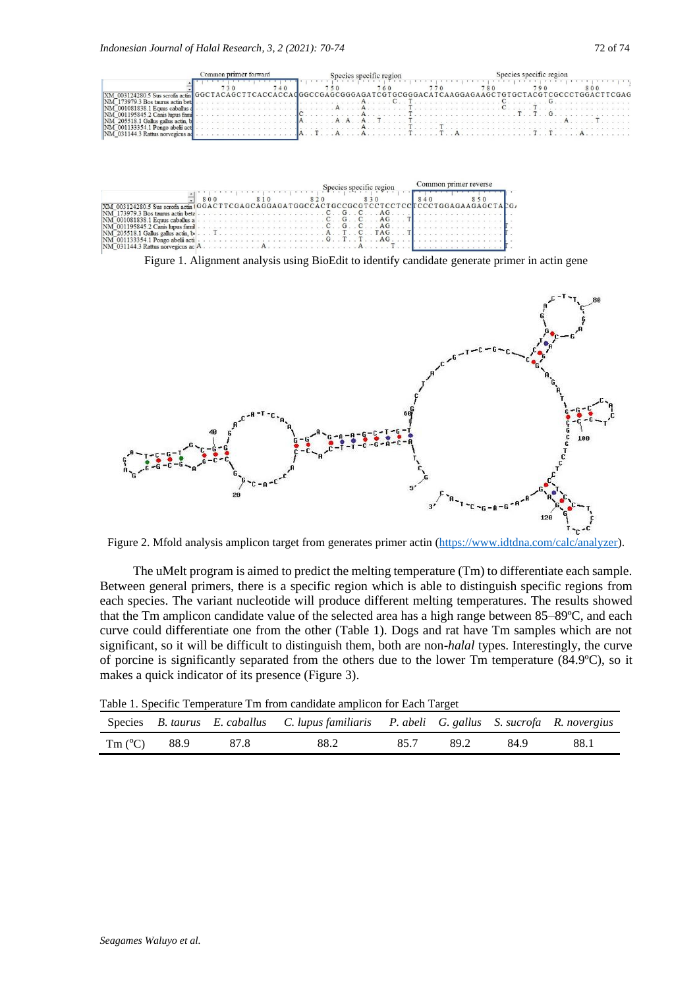

|                                                                                                                                                                                                                                                                                                                            |     |  |  |  |  |  |  |  | Species specific region |  |  |  |  | Common primer reverse |  |  |     |  |  |  |  |  |  |  |  |  |  |
|----------------------------------------------------------------------------------------------------------------------------------------------------------------------------------------------------------------------------------------------------------------------------------------------------------------------------|-----|--|--|--|--|--|--|--|-------------------------|--|--|--|--|-----------------------|--|--|-----|--|--|--|--|--|--|--|--|--|--|
|                                                                                                                                                                                                                                                                                                                            | 800 |  |  |  |  |  |  |  |                         |  |  |  |  |                       |  |  | 840 |  |  |  |  |  |  |  |  |  |  |
| XM 003124280.5 Sus scrofa actin   GGACTTCGAGCAGGAGATGGCCACTGCCGCGTCCTCCTCCTCCTGGAGAAGAGCTALG                                                                                                                                                                                                                               |     |  |  |  |  |  |  |  |                         |  |  |  |  |                       |  |  |     |  |  |  |  |  |  |  |  |  |  |
|                                                                                                                                                                                                                                                                                                                            |     |  |  |  |  |  |  |  |                         |  |  |  |  |                       |  |  |     |  |  |  |  |  |  |  |  |  |  |
| NM 001081838.1 Equus caballus a                                                                                                                                                                                                                                                                                            |     |  |  |  |  |  |  |  |                         |  |  |  |  | $C$ $G$ $C$ $AG$ $A$  |  |  |     |  |  |  |  |  |  |  |  |  |  |
| $\text{NM}$ 001195845.2 Canis hous family and the contract of the contract of $\text{C}$ . G. G. G. $\text{C}$ , $\text{G}$ , $\text{G}$ , $\text{G}$ , $\text{G}$ , $\text{G}$ , $\text{G}$ , $\text{G}$ , $\text{G}$ , $\text{G}$ , $\text{G}$ , $\text{G}$ , $\text{G}$                                                 |     |  |  |  |  |  |  |  |                         |  |  |  |  |                       |  |  |     |  |  |  |  |  |  |  |  |  |  |
| $\text{NM}$ 205518.1 Gallus gallus actin, bij $\ldots$ T $\ldots$ $\ldots$ $\ldots$ $\ldots$ $\ldots$ $\ldots$ $\ldots$ $\ldots$ $\ldots$ $\ldots$ $\ldots$ $\ldots$ $\ldots$ $\ldots$ $\ldots$ $\ldots$ $\ldots$ $\ldots$ $\ldots$ $\ldots$ $\ldots$ $\ldots$ $\ldots$ $\ldots$ $\ldots$ $\ldots$ $\ldots$ $\ldots$ $\ld$ |     |  |  |  |  |  |  |  |                         |  |  |  |  |                       |  |  |     |  |  |  |  |  |  |  |  |  |  |
|                                                                                                                                                                                                                                                                                                                            |     |  |  |  |  |  |  |  |                         |  |  |  |  |                       |  |  |     |  |  |  |  |  |  |  |  |  |  |
|                                                                                                                                                                                                                                                                                                                            |     |  |  |  |  |  |  |  |                         |  |  |  |  |                       |  |  |     |  |  |  |  |  |  |  |  |  |  |

Figure 1. Alignment analysis using BioEdit to identify candidate generate primer in actin gene



Figure 2. Mfold analysis amplicon target from generates primer actin [\(https://www.idtdna.com/calc/analyzer\)](https://www.idtdna.com/calc/analyzer).

The uMelt program is aimed to predict the melting temperature (Tm) to differentiate each sample. Between general primers, there is a specific region which is able to distinguish specific regions from each species. The variant nucleotide will produce different melting temperatures. The results showed that the Tm amplicon candidate value of the selected area has a high range between 85–89ºC, and each curve could differentiate one from the other (Table 1). Dogs and rat have Tm samples which are not significant, so it will be difficult to distinguish them, both are non-*halal* types. Interestingly, the curve of porcine is significantly separated from the others due to the lower Tm temperature (84.9ºC), so it makes a quick indicator of its presence (Figure 3).

|  | Table 1. Specific Temperature Tm from candidate amplicon for Each Target |  |  |  |
|--|--------------------------------------------------------------------------|--|--|--|
|  |                                                                          |  |  |  |

|                       |      | Species B. taurus E. caballus C. lupus familiaris P. abeli G. gallus S. sucrofa R. novergius |      |      |      |      |
|-----------------------|------|----------------------------------------------------------------------------------------------|------|------|------|------|
| Tm $(^{\circ}C)$ 88.9 | 87.8 | 88.2                                                                                         | 85.7 | 89.2 | 84.9 | 88.1 |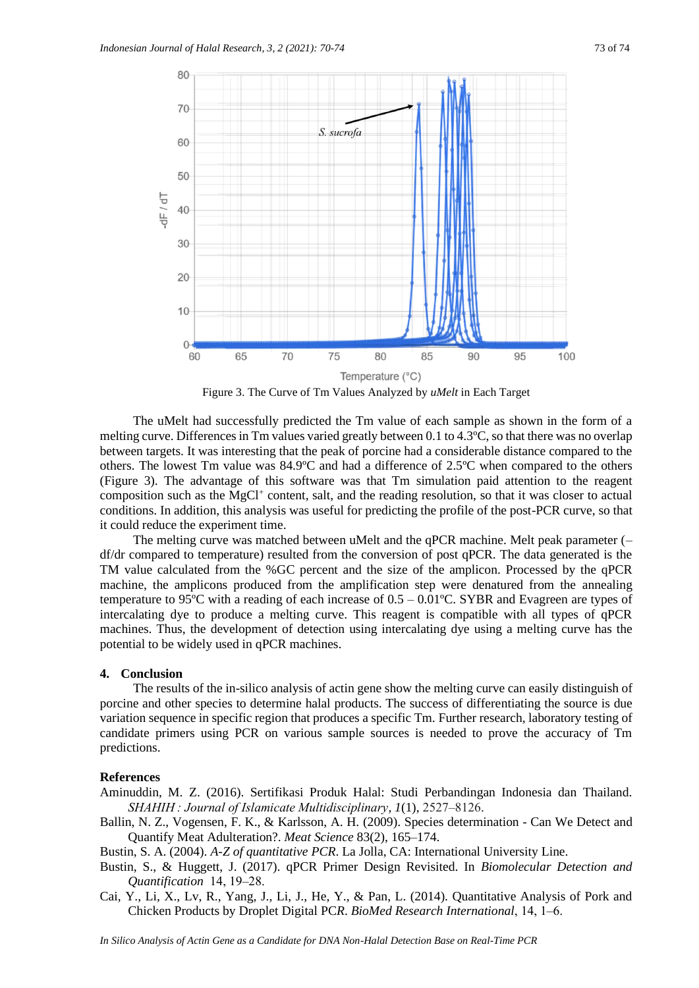

Figure 3. The Curve of Tm Values Analyzed by *uMelt* in Each Target

The uMelt had successfully predicted the Tm value of each sample as shown in the form of a melting curve. Differences in Tm values varied greatly between 0.1 to 4.3ºC, so that there was no overlap between targets. It was interesting that the peak of porcine had a considerable distance compared to the others. The lowest Tm value was 84.9ºC and had a difference of 2.5ºC when compared to the others (Figure 3). The advantage of this software was that Tm simulation paid attention to the reagent composition such as the MgCl<sup>+</sup> content, salt, and the reading resolution, so that it was closer to actual conditions. In addition, this analysis was useful for predicting the profile of the post-PCR curve, so that it could reduce the experiment time.

The melting curve was matched between uMelt and the qPCR machine. Melt peak parameter (– df/dr compared to temperature) resulted from the conversion of post qPCR. The data generated is the TM value calculated from the %GC percent and the size of the amplicon. Processed by the qPCR machine, the amplicons produced from the amplification step were denatured from the annealing temperature to 95<sup>o</sup>C with a reading of each increase of  $0.5 - 0.01$ <sup>o</sup>C. SYBR and Evagreen are types of intercalating dye to produce a melting curve. This reagent is compatible with all types of qPCR machines. Thus, the development of detection using intercalating dye using a melting curve has the potential to be widely used in qPCR machines.

## **4. Conclusion**

The results of the in-silico analysis of actin gene show the melting curve can easily distinguish of porcine and other species to determine halal products. The success of differentiating the source is due variation sequence in specific region that produces a specific Tm. Further research, laboratory testing of candidate primers using PCR on various sample sources is needed to prove the accuracy of Tm predictions.

#### **References**

Aminuddin, M. Z. (2016). Sertifikasi Produk Halal: Studi Perbandingan Indonesia dan Thailand. *SHAHIH : Journal of Islamicate Multidisciplinary*, *1*(1), 2527‒8126.

Ballin, N. Z., Vogensen, F. K., & Karlsson, A. H. (2009). Species determination - Can We Detect and Quantify Meat Adulteration?. *Meat Science* 83(2), 165–174.

Bustin, S. A. (2004). *A-Z of quantitative PCR*. La Jolla, CA: International University Line.

- Bustin, S., & Huggett, J. (2017). qPCR Primer Design Revisited. In *Biomolecular Detection and Quantification 14, 19-28.*
- Cai, Y., Li, X., Lv, R., Yang, J., Li, J., He, Y., & Pan, L. (2014). Quantitative Analysis of Pork and Chicken Products by Droplet Digital PC*R*. *BioMed Research International*, 14, 1‒6.